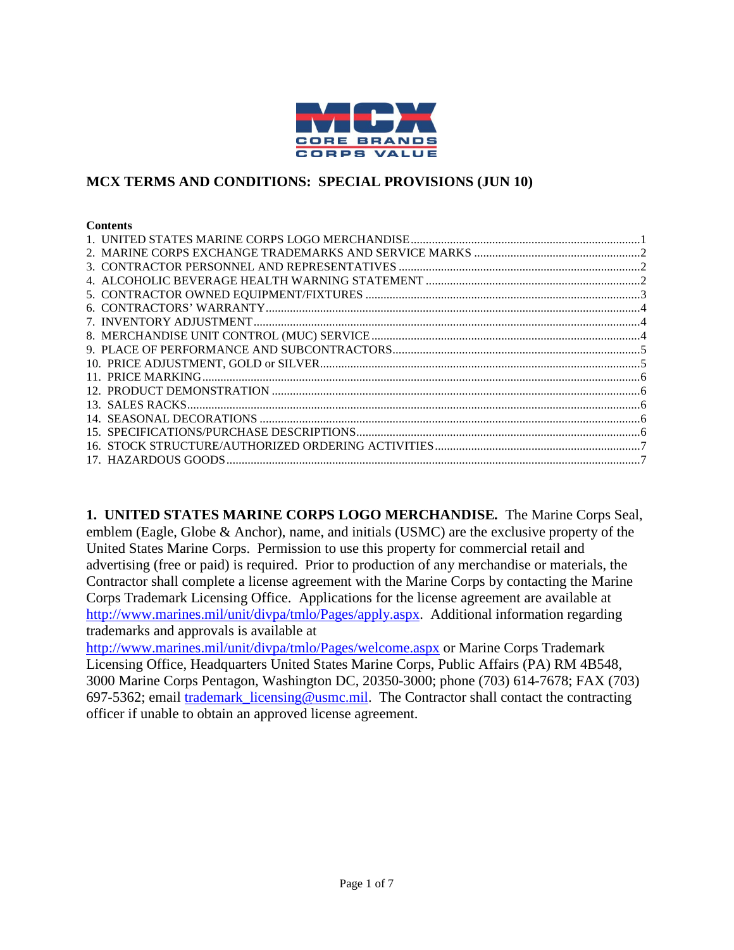

### **MCX TERMS AND CONDITIONS: SPECIAL PROVISIONS (JUN 10)**

#### **Contents**

<span id="page-0-0"></span>**1. UNITED STATES MARINE CORPS LOGO MERCHANDISE***.* The Marine Corps Seal, emblem (Eagle, Globe & Anchor), name, and initials (USMC) are the exclusive property of the United States Marine Corps. Permission to use this property for commercial retail and advertising (free or paid) is required. Prior to production of any merchandise or materials, the Contractor shall complete a license agreement with the Marine Corps by contacting the Marine Corps Trademark Licensing Office. Applications for the license agreement are available at [http://www.marines.mil/unit/divpa/tmlo/Pages/apply.aspx.](http://www.marines.mil/unit/divpa/tmlo/Pages/apply.aspx) Additional information regarding trademarks and approvals is available at

<http://www.marines.mil/unit/divpa/tmlo/Pages/welcome.aspx> or Marine Corps Trademark Licensing Office, Headquarters United States Marine Corps, Public Affairs (PA) RM 4B548, 3000 Marine Corps Pentagon, Washington DC, 20350-3000; phone (703) 614-7678; FAX (703) 697-5362; email [trademark\\_licensing@usmc.mil.](mailto:trademark_licensing@usmc.mil) The Contractor shall contact the contracting officer if unable to obtain an approved license agreement.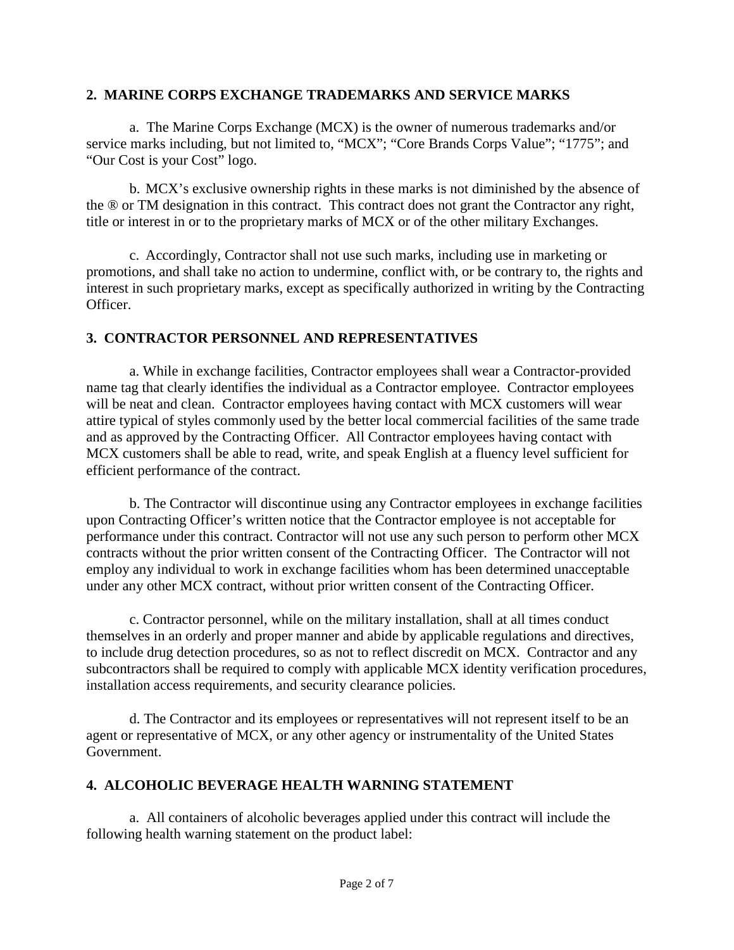### <span id="page-1-0"></span>**2. MARINE CORPS EXCHANGE TRADEMARKS AND SERVICE MARKS**

a. The Marine Corps Exchange (MCX) is the owner of numerous trademarks and/or service marks including, but not limited to, "MCX"; "Core Brands Corps Value"; "1775"; and "Our Cost is your Cost" logo.

b. MCX's exclusive ownership rights in these marks is not diminished by the absence of the ® or TM designation in this contract. This contract does not grant the Contractor any right, title or interest in or to the proprietary marks of MCX or of the other military Exchanges.

c. Accordingly, Contractor shall not use such marks, including use in marketing or promotions, and shall take no action to undermine, conflict with, or be contrary to, the rights and interest in such proprietary marks, except as specifically authorized in writing by the Contracting Officer.

### <span id="page-1-1"></span>**3. CONTRACTOR PERSONNEL AND REPRESENTATIVES**

a. While in exchange facilities, Contractor employees shall wear a Contractor-provided name tag that clearly identifies the individual as a Contractor employee. Contractor employees will be neat and clean. Contractor employees having contact with MCX customers will wear attire typical of styles commonly used by the better local commercial facilities of the same trade and as approved by the Contracting Officer. All Contractor employees having contact with MCX customers shall be able to read, write, and speak English at a fluency level sufficient for efficient performance of the contract.

b. The Contractor will discontinue using any Contractor employees in exchange facilities upon Contracting Officer's written notice that the Contractor employee is not acceptable for performance under this contract. Contractor will not use any such person to perform other MCX contracts without the prior written consent of the Contracting Officer. The Contractor will not employ any individual to work in exchange facilities whom has been determined unacceptable under any other MCX contract, without prior written consent of the Contracting Officer.

c. Contractor personnel, while on the military installation, shall at all times conduct themselves in an orderly and proper manner and abide by applicable regulations and directives, to include drug detection procedures, so as not to reflect discredit on MCX. Contractor and any subcontractors shall be required to comply with applicable MCX identity verification procedures, installation access requirements, and security clearance policies.

d. The Contractor and its employees or representatives will not represent itself to be an agent or representative of MCX, or any other agency or instrumentality of the United States Government.

# <span id="page-1-2"></span>**4. ALCOHOLIC BEVERAGE HEALTH WARNING STATEMENT**

a. All containers of alcoholic beverages applied under this contract will include the following health warning statement on the product label: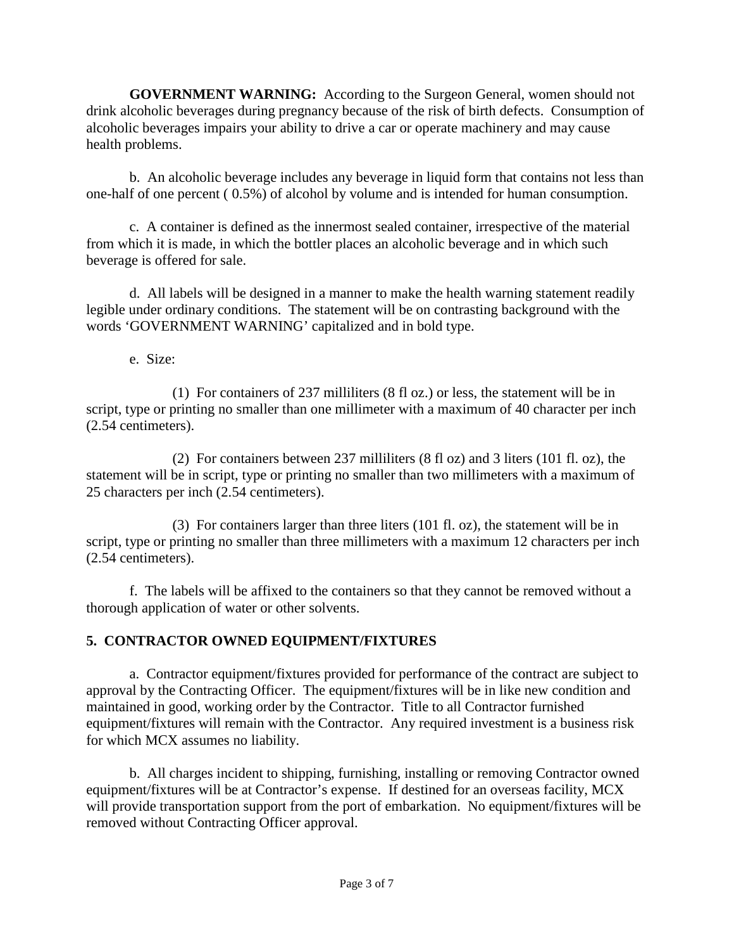**GOVERNMENT WARNING:** According to the Surgeon General, women should not drink alcoholic beverages during pregnancy because of the risk of birth defects. Consumption of alcoholic beverages impairs your ability to drive a car or operate machinery and may cause health problems.

b. An alcoholic beverage includes any beverage in liquid form that contains not less than one-half of one percent ( 0.5%) of alcohol by volume and is intended for human consumption.

c. A container is defined as the innermost sealed container, irrespective of the material from which it is made, in which the bottler places an alcoholic beverage and in which such beverage is offered for sale.

d. All labels will be designed in a manner to make the health warning statement readily legible under ordinary conditions. The statement will be on contrasting background with the words 'GOVERNMENT WARNING' capitalized and in bold type.

e. Size:

(1) For containers of 237 milliliters (8 fl oz.) or less, the statement will be in script, type or printing no smaller than one millimeter with a maximum of 40 character per inch (2.54 centimeters).

(2) For containers between 237 milliliters (8 fl oz) and 3 liters (101 fl. oz), the statement will be in script, type or printing no smaller than two millimeters with a maximum of 25 characters per inch (2.54 centimeters).

(3) For containers larger than three liters (101 fl. oz), the statement will be in script, type or printing no smaller than three millimeters with a maximum 12 characters per inch (2.54 centimeters).

f. The labels will be affixed to the containers so that they cannot be removed without a thorough application of water or other solvents.

# <span id="page-2-0"></span>**5. CONTRACTOR OWNED EQUIPMENT/FIXTURES**

a. Contractor equipment/fixtures provided for performance of the contract are subject to approval by the Contracting Officer. The equipment/fixtures will be in like new condition and maintained in good, working order by the Contractor. Title to all Contractor furnished equipment/fixtures will remain with the Contractor. Any required investment is a business risk for which MCX assumes no liability.

b. All charges incident to shipping, furnishing, installing or removing Contractor owned equipment/fixtures will be at Contractor's expense. If destined for an overseas facility, MCX will provide transportation support from the port of embarkation. No equipment/fixtures will be removed without Contracting Officer approval.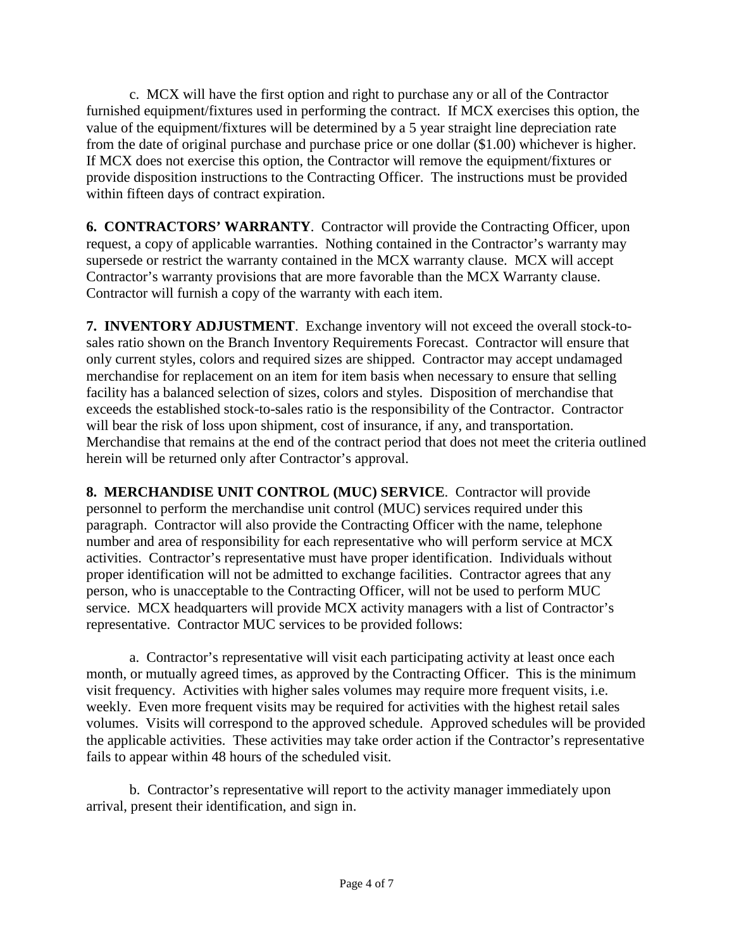c. MCX will have the first option and right to purchase any or all of the Contractor furnished equipment/fixtures used in performing the contract. If MCX exercises this option, the value of the equipment/fixtures will be determined by a 5 year straight line depreciation rate from the date of original purchase and purchase price or one dollar (\$1.00) whichever is higher. If MCX does not exercise this option, the Contractor will remove the equipment/fixtures or provide disposition instructions to the Contracting Officer. The instructions must be provided within fifteen days of contract expiration.

<span id="page-3-0"></span>**6. CONTRACTORS' WARRANTY**. Contractor will provide the Contracting Officer, upon request, a copy of applicable warranties. Nothing contained in the Contractor's warranty may supersede or restrict the warranty contained in the MCX warranty clause. MCX will accept Contractor's warranty provisions that are more favorable than the MCX Warranty clause. Contractor will furnish a copy of the warranty with each item.

<span id="page-3-1"></span>**7. INVENTORY ADJUSTMENT**. Exchange inventory will not exceed the overall stock-tosales ratio shown on the Branch Inventory Requirements Forecast. Contractor will ensure that only current styles, colors and required sizes are shipped. Contractor may accept undamaged merchandise for replacement on an item for item basis when necessary to ensure that selling facility has a balanced selection of sizes, colors and styles. Disposition of merchandise that exceeds the established stock-to-sales ratio is the responsibility of the Contractor. Contractor will bear the risk of loss upon shipment, cost of insurance, if any, and transportation. Merchandise that remains at the end of the contract period that does not meet the criteria outlined herein will be returned only after Contractor's approval.

<span id="page-3-2"></span>**8. MERCHANDISE UNIT CONTROL (MUC) SERVICE**. Contractor will provide personnel to perform the merchandise unit control (MUC) services required under this paragraph. Contractor will also provide the Contracting Officer with the name, telephone number and area of responsibility for each representative who will perform service at MCX activities. Contractor's representative must have proper identification. Individuals without proper identification will not be admitted to exchange facilities. Contractor agrees that any person, who is unacceptable to the Contracting Officer, will not be used to perform MUC service. MCX headquarters will provide MCX activity managers with a list of Contractor's representative. Contractor MUC services to be provided follows:

a. Contractor's representative will visit each participating activity at least once each month, or mutually agreed times, as approved by the Contracting Officer. This is the minimum visit frequency. Activities with higher sales volumes may require more frequent visits, i.e. weekly. Even more frequent visits may be required for activities with the highest retail sales volumes. Visits will correspond to the approved schedule. Approved schedules will be provided the applicable activities. These activities may take order action if the Contractor's representative fails to appear within 48 hours of the scheduled visit.

b. Contractor's representative will report to the activity manager immediately upon arrival, present their identification, and sign in.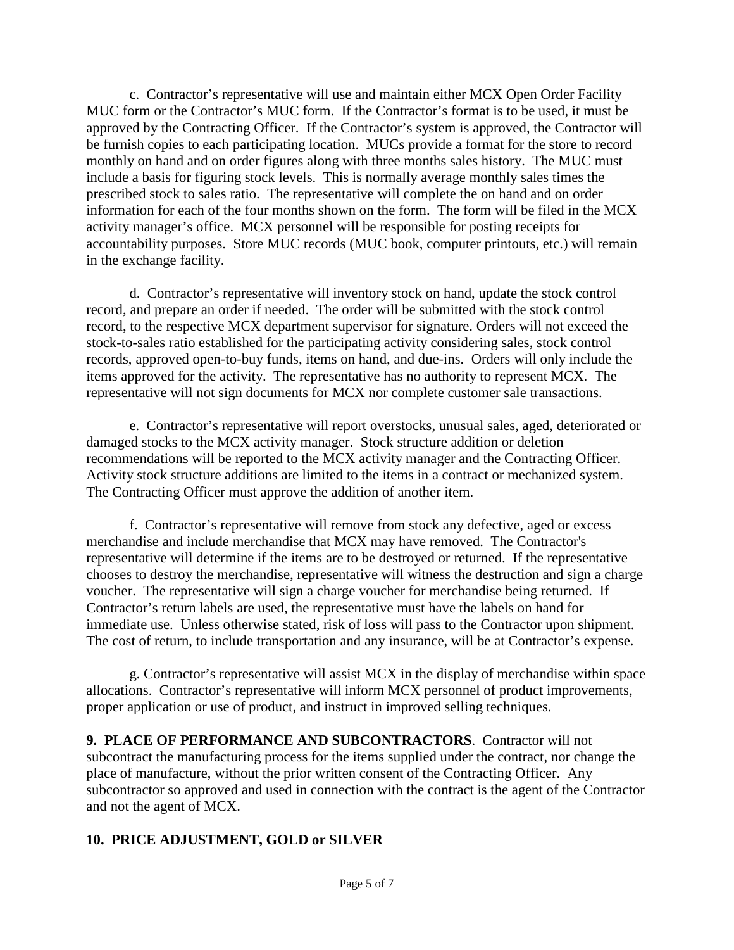c. Contractor's representative will use and maintain either MCX Open Order Facility MUC form or the Contractor's MUC form. If the Contractor's format is to be used, it must be approved by the Contracting Officer. If the Contractor's system is approved, the Contractor will be furnish copies to each participating location. MUCs provide a format for the store to record monthly on hand and on order figures along with three months sales history. The MUC must include a basis for figuring stock levels. This is normally average monthly sales times the prescribed stock to sales ratio. The representative will complete the on hand and on order information for each of the four months shown on the form. The form will be filed in the MCX activity manager's office. MCX personnel will be responsible for posting receipts for accountability purposes. Store MUC records (MUC book, computer printouts, etc.) will remain in the exchange facility.

d. Contractor's representative will inventory stock on hand, update the stock control record, and prepare an order if needed. The order will be submitted with the stock control record, to the respective MCX department supervisor for signature. Orders will not exceed the stock-to-sales ratio established for the participating activity considering sales, stock control records, approved open-to-buy funds, items on hand, and due-ins. Orders will only include the items approved for the activity. The representative has no authority to represent MCX. The representative will not sign documents for MCX nor complete customer sale transactions.

e. Contractor's representative will report overstocks, unusual sales, aged, deteriorated or damaged stocks to the MCX activity manager. Stock structure addition or deletion recommendations will be reported to the MCX activity manager and the Contracting Officer. Activity stock structure additions are limited to the items in a contract or mechanized system. The Contracting Officer must approve the addition of another item.

f. Contractor's representative will remove from stock any defective, aged or excess merchandise and include merchandise that MCX may have removed. The Contractor's representative will determine if the items are to be destroyed or returned. If the representative chooses to destroy the merchandise, representative will witness the destruction and sign a charge voucher. The representative will sign a charge voucher for merchandise being returned. If Contractor's return labels are used, the representative must have the labels on hand for immediate use. Unless otherwise stated, risk of loss will pass to the Contractor upon shipment. The cost of return, to include transportation and any insurance, will be at Contractor's expense.

g. Contractor's representative will assist MCX in the display of merchandise within space allocations. Contractor's representative will inform MCX personnel of product improvements, proper application or use of product, and instruct in improved selling techniques.

<span id="page-4-0"></span>**9. PLACE OF PERFORMANCE AND SUBCONTRACTORS**. Contractor will not subcontract the manufacturing process for the items supplied under the contract, nor change the place of manufacture, without the prior written consent of the Contracting Officer. Any subcontractor so approved and used in connection with the contract is the agent of the Contractor and not the agent of MCX.

### <span id="page-4-1"></span>**10. PRICE ADJUSTMENT, GOLD or SILVER**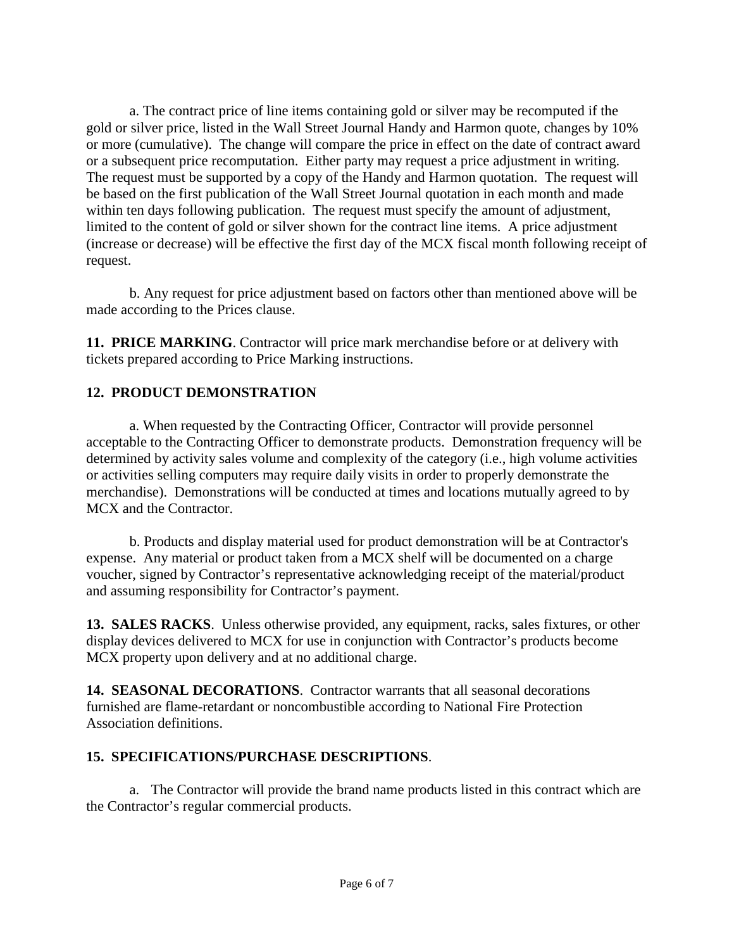a. The contract price of line items containing gold or silver may be recomputed if the gold or silver price, listed in the Wall Street Journal Handy and Harmon quote, changes by 10% or more (cumulative). The change will compare the price in effect on the date of contract award or a subsequent price recomputation. Either party may request a price adjustment in writing. The request must be supported by a copy of the Handy and Harmon quotation. The request will be based on the first publication of the Wall Street Journal quotation in each month and made within ten days following publication. The request must specify the amount of adjustment, limited to the content of gold or silver shown for the contract line items. A price adjustment (increase or decrease) will be effective the first day of the MCX fiscal month following receipt of request.

b. Any request for price adjustment based on factors other than mentioned above will be made according to the Prices clause.

<span id="page-5-0"></span>**11. PRICE MARKING**. Contractor will price mark merchandise before or at delivery with tickets prepared according to Price Marking instructions.

### <span id="page-5-1"></span>**12. PRODUCT DEMONSTRATION**

a. When requested by the Contracting Officer, Contractor will provide personnel acceptable to the Contracting Officer to demonstrate products. Demonstration frequency will be determined by activity sales volume and complexity of the category (i.e., high volume activities or activities selling computers may require daily visits in order to properly demonstrate the merchandise). Demonstrations will be conducted at times and locations mutually agreed to by MCX and the Contractor.

b. Products and display material used for product demonstration will be at Contractor's expense. Any material or product taken from a MCX shelf will be documented on a charge voucher, signed by Contractor's representative acknowledging receipt of the material/product and assuming responsibility for Contractor's payment.

<span id="page-5-2"></span>**13. SALES RACKS**. Unless otherwise provided, any equipment, racks, sales fixtures, or other display devices delivered to MCX for use in conjunction with Contractor's products become MCX property upon delivery and at no additional charge.

<span id="page-5-3"></span>**14. SEASONAL DECORATIONS**. Contractor warrants that all seasonal decorations furnished are flame-retardant or noncombustible according to National Fire Protection Association definitions.

### <span id="page-5-4"></span>**15. SPECIFICATIONS/PURCHASE DESCRIPTIONS**.

a. The Contractor will provide the brand name products listed in this contract which are the Contractor's regular commercial products.